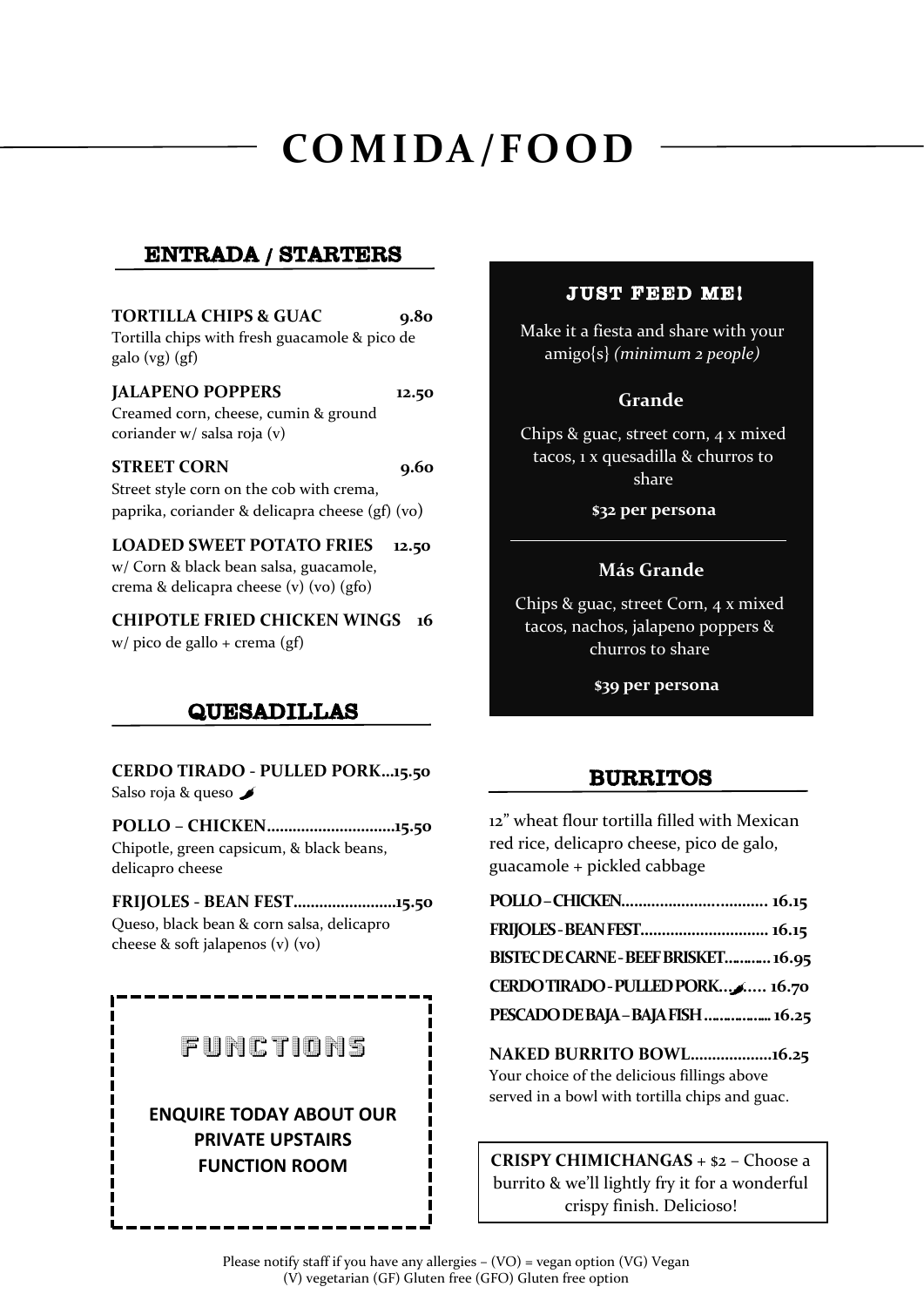# **COMIDA/FOOD**

## ENTRADA / STARTERS

## **TORTILLA CHIPS & GUAC** 9.80 Tortilla chips with fresh guacamole & pico de galo (vg) (gf) **JALAPENO POPPERS 12.50** Creamed corn, cheese, cumin & ground coriander w/ salsa roja (v) **STREET CORN** 9.60 Street style corn on the cob with crema, paprika, coriander & delicapra cheese (gf) (vo) **LOADED SWEET POTATO FRIES 12.50** w/ Corn & black bean salsa, guacamole, crema & delicapra cheese (v) (vo) (gfo) **CHIPOTLE FRIED CHICKEN WINGS 16**  w/ pico de gallo + crema (gf)

## QUESADILLAS

**CERDO TIRADO - PULLED PORK…15.50** Salso roja & queso

**POLLO – CHICKEN…………………………15.50** Chipotle, green capsicum, & black beans, delicapro cheese

**FRIJOLES - BEAN FEST……………………15.50** Queso, black bean & corn salsa, delicapro cheese & soft jalapenos (v) (vo)

## FUNCTIONS

## **ENQUIRE TODAY ABOUT OUR PRIVATE UPSTAIRS FUNCTION ROOM**

### JUST FEED ME!

Make it a fiesta and share with your amigo{s} *(minimum 2 people)*

### **Grande**

Chips & guac, street corn, 4 x mixed tacos, 1 x quesadilla & churros to share

**\$32 per persona**

### **Más Grande**

Chips & guac, street Corn, 4 x mixed tacos, nachos, jalapeno poppers & churros to share

**\$39 per persona**

## BURRITOS

12" wheat flour tortilla filled with Mexican red rice, delicapro cheese, pico de galo, guacamole + pickled cabbage

| FRIJOLES-BEAN FEST 16.15             |  |
|--------------------------------------|--|
| BISTEC DE CARNE - BEEF BRISKET 16.95 |  |
| CERDO TIRADO - PULLED PORK 16.70     |  |
| PESCADO DE BAJA - BAJA FISH  16.25   |  |
|                                      |  |

**NAKED BURRITO BOWL……………….16.25** Your choice of the delicious fillings above served in a bowl with tortilla chips and guac.

**CRISPY CHIMICHANGAS** + \$2 – Choose a burrito & we'll lightly fry it for a wonderful crispy finish. Delicioso!

í